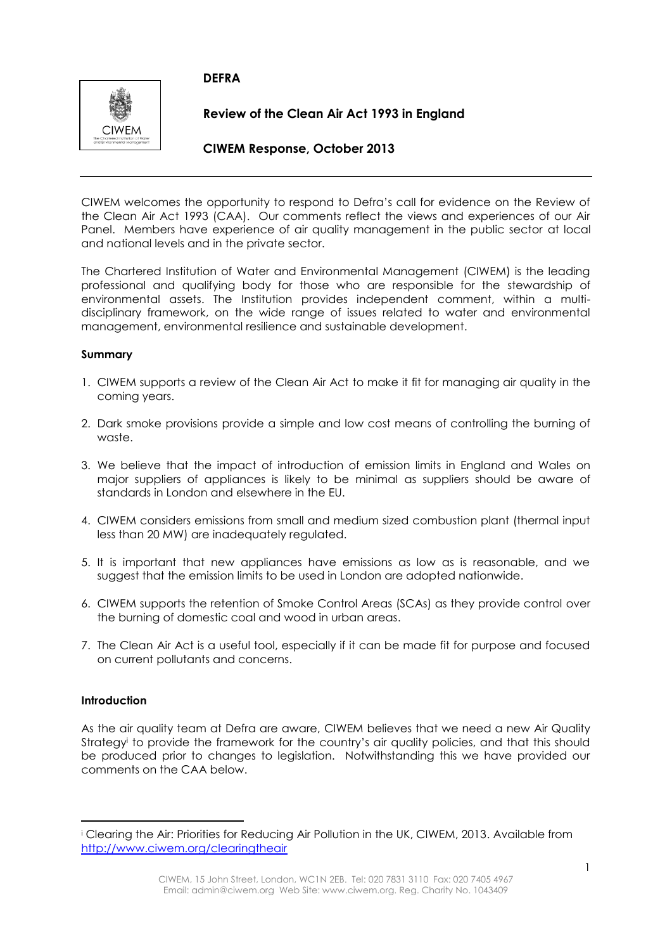# **DEFRA**



**Review of the Clean Air Act 1993 in England** 

# **CIWEM Response, October 2013**

CIWEM welcomes the opportunity to respond to Defra's call for evidence on the Review of the Clean Air Act 1993 (CAA). Our comments reflect the views and experiences of our Air Panel. Members have experience of air quality management in the public sector at local and national levels and in the private sector.

The Chartered Institution of Water and Environmental Management (CIWEM) is the leading professional and qualifying body for those who are responsible for the stewardship of environmental assets. The Institution provides independent comment, within a multidisciplinary framework, on the wide range of issues related to water and environmental management, environmental resilience and sustainable development.

### **Summary**

- 1. CIWEM supports a review of the Clean Air Act to make it fit for managing air quality in the coming years.
- 2. Dark smoke provisions provide a simple and low cost means of controlling the burning of waste.
- 3. We believe that the impact of introduction of emission limits in England and Wales on major suppliers of appliances is likely to be minimal as suppliers should be aware of standards in London and elsewhere in the EU.
- 4. CIWEM considers emissions from small and medium sized combustion plant (thermal input less than 20 MW) are inadequately regulated.
- 5. It is important that new appliances have emissions as low as is reasonable, and we suggest that the emission limits to be used in London are adopted nationwide.
- 6. CIWEM supports the retention of Smoke Control Areas (SCAs) as they provide control over the burning of domestic coal and wood in urban areas.
- 7. The Clean Air Act is a useful tool, especially if it can be made fit for purpose and focused on current pollutants and concerns.

## **Introduction**

**.** 

As the air quality team at Defra are aware, CIWEM believes that we need a new Air Quality Strategy<sup>i</sup> to provide the framework for the country's air quality policies, and that this should be produced prior to changes to legislation. Notwithstanding this we have provided our comments on the CAA below.

<sup>i</sup> Clearing the Air: Priorities for Reducing Air Pollution in the UK, CIWEM, 2013. Available from <http://www.ciwem.org/clearingtheair>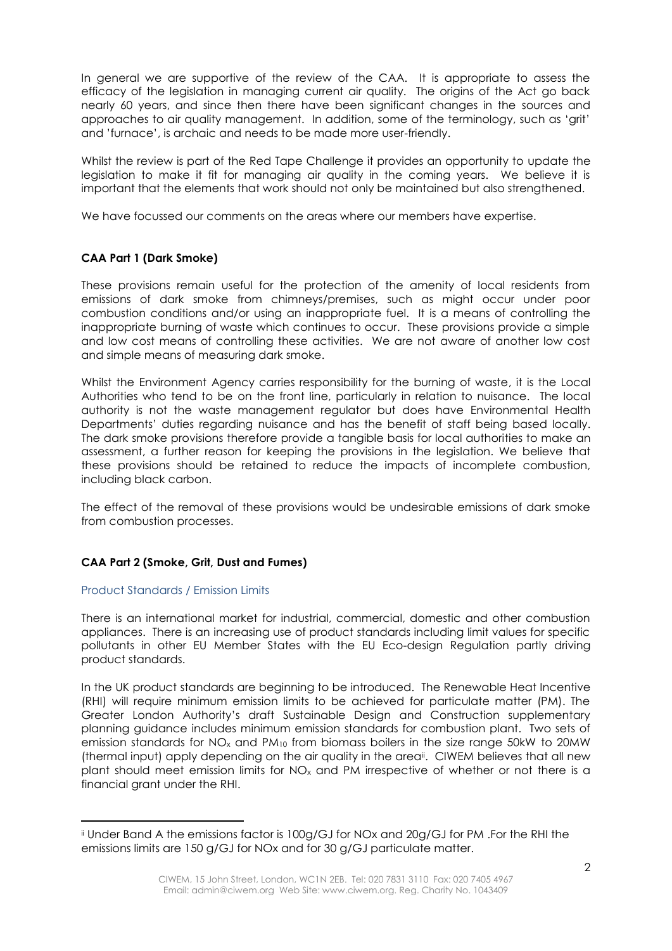In general we are supportive of the review of the CAA. It is appropriate to assess the efficacy of the legislation in managing current air quality. The origins of the Act go back nearly 60 years, and since then there have been significant changes in the sources and approaches to air quality management. In addition, some of the terminology, such as 'grit' and 'furnace', is archaic and needs to be made more user-friendly.

Whilst the review is part of the Red Tape Challenge it provides an opportunity to update the legislation to make it fit for managing air quality in the coming years. We believe it is important that the elements that work should not only be maintained but also strengthened.

We have focussed our comments on the areas where our members have expertise.

### **CAA Part 1 (Dark Smoke)**

These provisions remain useful for the protection of the amenity of local residents from emissions of dark smoke from chimneys/premises, such as might occur under poor combustion conditions and/or using an inappropriate fuel. It is a means of controlling the inappropriate burning of waste which continues to occur. These provisions provide a simple and low cost means of controlling these activities. We are not aware of another low cost and simple means of measuring dark smoke.

Whilst the Environment Agency carries responsibility for the burning of waste, it is the Local Authorities who tend to be on the front line, particularly in relation to nuisance. The local authority is not the waste management regulator but does have Environmental Health Departments' duties regarding nuisance and has the benefit of staff being based locally. The dark smoke provisions therefore provide a tangible basis for local authorities to make an assessment, a further reason for keeping the provisions in the legislation. We believe that these provisions should be retained to reduce the impacts of incomplete combustion, including black carbon.

The effect of the removal of these provisions would be undesirable emissions of dark smoke from combustion processes.

## **CAA Part 2 (Smoke, Grit, Dust and Fumes)**

#### Product Standards / Emission Limits

**.** 

There is an international market for industrial, commercial, domestic and other combustion appliances. There is an increasing use of product standards including limit values for specific pollutants in other EU Member States with the EU Eco-design Regulation partly driving product standards.

In the UK product standards are beginning to be introduced. The Renewable Heat Incentive (RHI) will require minimum emission limits to be achieved for particulate matter (PM). The Greater London Authority's draft Sustainable Design and Construction supplementary planning guidance includes minimum emission standards for combustion plant. Two sets of emission standards for  $NO_x$  and  $PM_{10}$  from biomass boilers in the size range 50kW to 20MW (thermal input) apply depending on the air quality in the area<sup>ii</sup>. CIWEM believes that all new plant should meet emission limits for  $NO_x$  and PM irrespective of whether or not there is a financial grant under the RHI.

ii Under Band A the emissions factor is 100g/GJ for NOx and 20g/GJ for PM .For the RHI the emissions limits are 150 g/GJ for NOx and for 30 g/GJ particulate matter.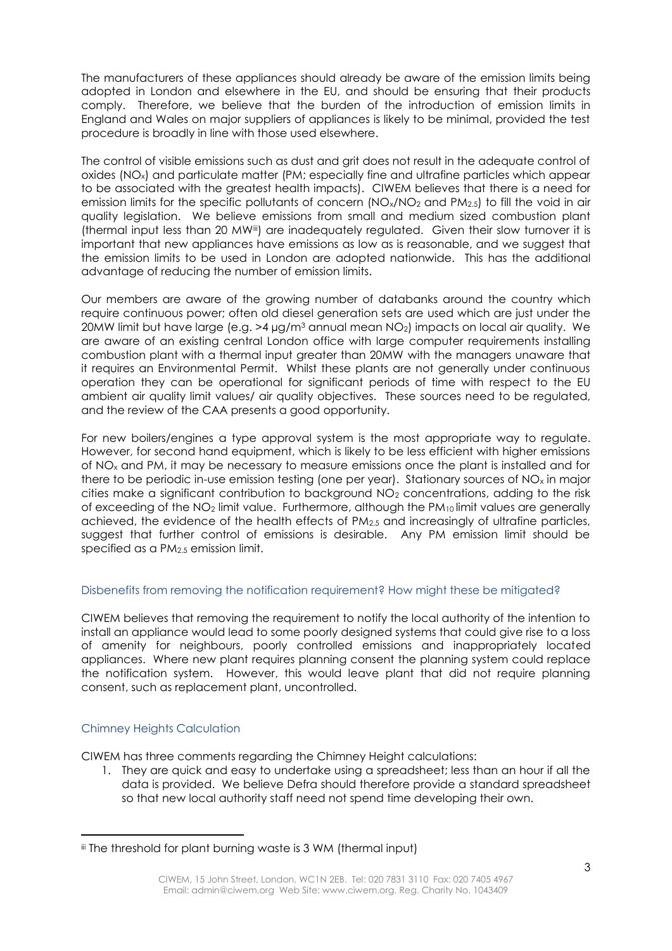The manufacturers of these appliances should already be aware of the emission limits being adopted in London and elsewhere in the EU, and should be ensuring that their products comply. Therefore, we believe that the burden of the introduction of emission limits in England and Wales on major suppliers of appliances is likely to be minimal, provided the test procedure is broadly in line with those used elsewhere.

The control of visible emissions such as dust and grit does not result in the adequate control of oxides (NOx) and particulate matter (PM; especially fine and ultrafine particles which appear to be associated with the greatest health impacts). CIWEM believes that there is a need for emission limits for the specific pollutants of concern  $(NO_x/NO_2 \text{ and } PM_{2.5})$  to fill the void in air quality legislation. We believe emissions from small and medium sized combustion plant (thermal input less than 20 MW<sup>iii</sup>) are inadequately regulated. Given their slow turnover it is important that new appliances have emissions as low as is reasonable, and we suggest that the emission limits to be used in London are adopted nationwide. This has the additional advantage of reducing the number of emission limits.

Our members are aware of the growing number of databanks around the country which require continuous power; often old diesel generation sets are used which are just under the 20MW limit but have large (e.g. >4 µg/m<sup>3</sup> annual mean NO<sub>2</sub>) impacts on local air quality. We are aware of an existing central London office with large computer requirements installing combustion plant with a thermal input greater than 20MW with the managers unaware that it requires an Environmental Permit. Whilst these plants are not generally under continuous operation they can be operational for significant periods of time with respect to the EU ambient air quality limit values/ air quality objectives. These sources need to be regulated, and the review of the CAA presents a good opportunity.

For new boilers/engines a type approval system is the most appropriate way to regulate. However, for second hand equipment, which is likely to be less efficient with higher emissions of NO<sup>x</sup> and PM, it may be necessary to measure emissions once the plant is installed and for there to be periodic in-use emission testing (one per year). Stationary sources of  $NO<sub>x</sub>$  in major cities make a significant contribution to background  $NO<sub>2</sub>$  concentrations, adding to the risk of exceeding of the NO<sub>2</sub> limit value. Furthermore, although the PM<sub>10</sub> limit values are generally achieved, the evidence of the health effects of PM2.5 and increasingly of ultrafine particles, suggest that further control of emissions is desirable. Any PM emission limit should be specified as a PM2.5 emission limit.

#### Disbenefits from removing the notification requirement? How might these be mitigated?

CIWEM believes that removing the requirement to notify the local authority of the intention to install an appliance would lead to some poorly designed systems that could give rise to a loss of amenity for neighbours, poorly controlled emissions and inappropriately located appliances. Where new plant requires planning consent the planning system could replace the notification system. However, this would leave plant that did not require planning consent, such as replacement plant, uncontrolled.

## Chimney Heights Calculation

**.** 

CIWEM has three comments regarding the Chimney Height calculations:

1. They are quick and easy to undertake using a spreadsheet; less than an hour if all the data is provided. We believe Defra should therefore provide a standard spreadsheet so that new local authority staff need not spend time developing their own.

iii The threshold for plant burning waste is 3 WM (thermal input)